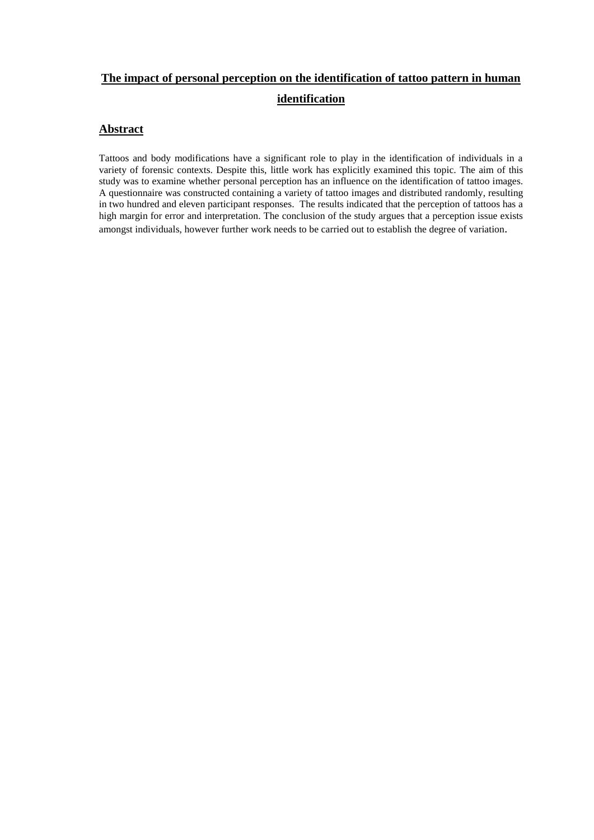# **The impact of personal perception on the identification of tattoo pattern in human identification**

# **Abstract**

Tattoos and body modifications have a significant role to play in the identification of individuals in a variety of forensic contexts. Despite this, little work has explicitly examined this topic. The aim of this study was to examine whether personal perception has an influence on the identification of tattoo images. A questionnaire was constructed containing a variety of tattoo images and distributed randomly, resulting in two hundred and eleven participant responses. The results indicated that the perception of tattoos has a high margin for error and interpretation. The conclusion of the study argues that a perception issue exists amongst individuals, however further work needs to be carried out to establish the degree of variation.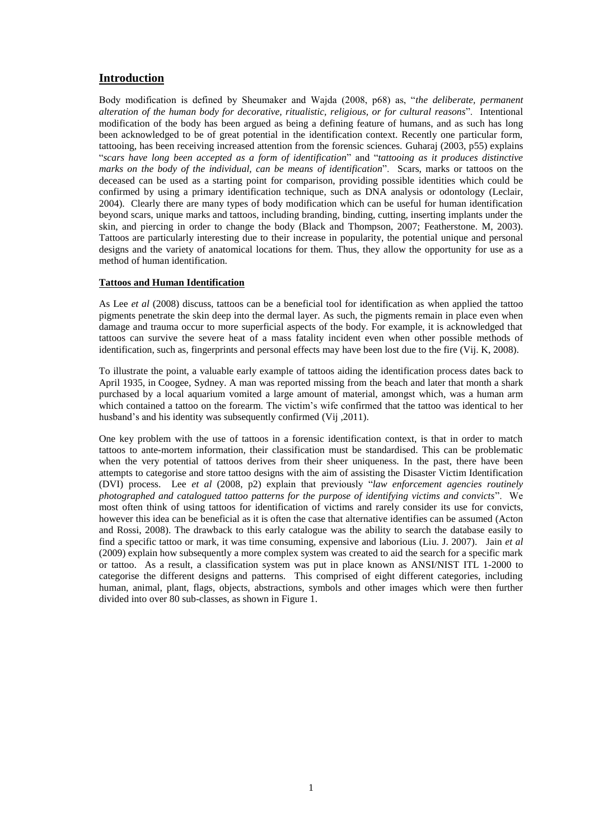## **Introduction**

Body modification is defined by Sheumaker and Wajda (2008, p68) as, "*the deliberate, permanent alteration of the human body for decorative, ritualistic, religious, or for cultural reasons*". Intentional modification of the body has been argued as being a defining feature of humans, and as such has long been acknowledged to be of great potential in the identification context. Recently one particular form, tattooing, has been receiving increased attention from the forensic sciences. Guharaj (2003, p55) explains "*scars have long been accepted as a form of identification*" and "*tattooing as it produces distinctive marks on the body of the individual, can be means of identification*". Scars, marks or tattoos on the deceased can be used as a starting point for comparison, providing possible identities which could be confirmed by using a primary identification technique, such as DNA analysis or odontology (Leclair, 2004). Clearly there are many types of body modification which can be useful for human identification beyond scars, unique marks and tattoos, including branding, binding, cutting, inserting implants under the skin, and piercing in order to change the body (Black and Thompson, 2007; Featherstone. M, 2003). Tattoos are particularly interesting due to their increase in popularity, the potential unique and personal designs and the variety of anatomical locations for them. Thus, they allow the opportunity for use as a method of human identification.

### **Tattoos and Human Identification**

As Lee *et al* (2008) discuss, tattoos can be a beneficial tool for identification as when applied the tattoo pigments penetrate the skin deep into the dermal layer. As such, the pigments remain in place even when damage and trauma occur to more superficial aspects of the body. For example, it is acknowledged that tattoos can survive the severe heat of a mass fatality incident even when other possible methods of identification, such as, fingerprints and personal effects may have been lost due to the fire (Vij. K, 2008).

To illustrate the point, a valuable early example of tattoos aiding the identification process dates back to April 1935, in Coogee, Sydney. A man was reported missing from the beach and later that month a shark purchased by a local aquarium vomited a large amount of material, amongst which, was a human arm which contained a tattoo on the forearm. The victim's wife confirmed that the tattoo was identical to her husband's and his identity was subsequently confirmed (Vij , 2011).

One key problem with the use of tattoos in a forensic identification context, is that in order to match tattoos to ante-mortem information, their classification must be standardised. This can be problematic when the very potential of tattoos derives from their sheer uniqueness. In the past, there have been attempts to categorise and store tattoo designs with the aim of assisting the Disaster Victim Identification (DVI) process. Lee *et al* (2008, p2) explain that previously "*law enforcement agencies routinely photographed and catalogued tattoo patterns for the purpose of identifying victims and convicts*". We most often think of using tattoos for identification of victims and rarely consider its use for convicts, however this idea can be beneficial as it is often the case that alternative identifies can be assumed (Acton and Rossi, 2008). The drawback to this early catalogue was the ability to search the database easily to find a specific tattoo or mark, it was time consuming, expensive and laborious (Liu. J. 2007). Jain *et al*  (2009) explain how subsequently a more complex system was created to aid the search for a specific mark or tattoo. As a result, a classification system was put in place known as ANSI/NIST ITL 1-2000 to categorise the different designs and patterns. This comprised of eight different categories, including human, animal, plant, flags, objects, abstractions, symbols and other images which were then further divided into over 80 sub-classes, as shown in Figure 1.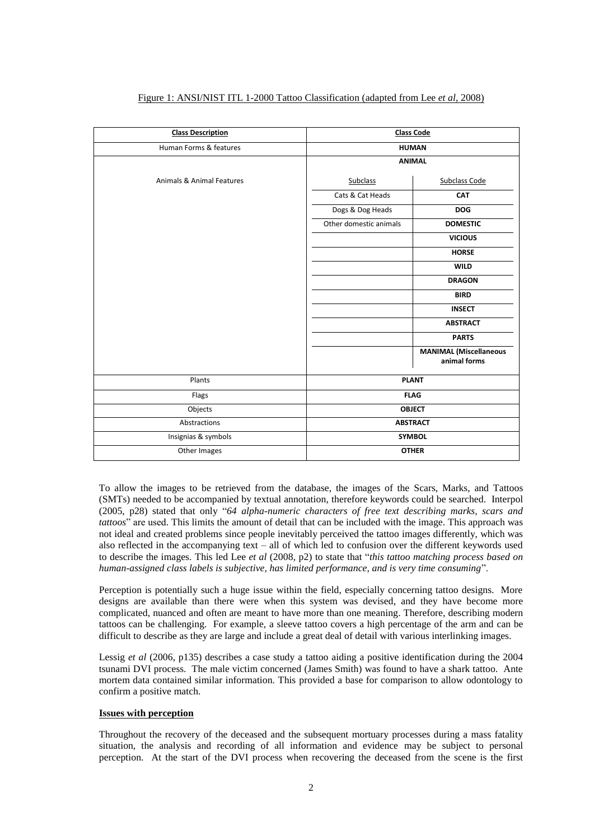| <b>Class Description</b>  | <b>Class Code</b>      |                                               |  |  |
|---------------------------|------------------------|-----------------------------------------------|--|--|
| Human Forms & features    | <b>HUMAN</b>           |                                               |  |  |
|                           | <b>ANIMAL</b>          |                                               |  |  |
| Animals & Animal Features | <b>Subclass</b>        | <b>Subclass Code</b>                          |  |  |
|                           | Cats & Cat Heads       | CAT                                           |  |  |
|                           | Dogs & Dog Heads       | <b>DOG</b>                                    |  |  |
|                           | Other domestic animals | <b>DOMESTIC</b>                               |  |  |
|                           |                        | <b>VICIOUS</b>                                |  |  |
|                           |                        | <b>HORSE</b>                                  |  |  |
|                           |                        | <b>WILD</b>                                   |  |  |
|                           |                        | <b>DRAGON</b>                                 |  |  |
|                           |                        | <b>BIRD</b>                                   |  |  |
|                           |                        | <b>INSECT</b>                                 |  |  |
|                           |                        | <b>ABSTRACT</b>                               |  |  |
|                           |                        | <b>PARTS</b>                                  |  |  |
|                           |                        | <b>MANIMAL (Miscellaneous</b><br>animal forms |  |  |
| Plants                    | <b>PLANT</b>           |                                               |  |  |
| Flags                     | <b>FLAG</b>            |                                               |  |  |
| Objects                   | <b>OBJECT</b>          |                                               |  |  |
| Abstractions              | <b>ABSTRACT</b>        |                                               |  |  |
| Insignias & symbols       |                        | <b>SYMBOL</b>                                 |  |  |
| Other Images              | <b>OTHER</b>           |                                               |  |  |

#### Figure 1: ANSI/NIST ITL 1-2000 Tattoo Classification (adapted from Lee *et al*, 2008)

To allow the images to be retrieved from the database, the images of the Scars, Marks, and Tattoos (SMTs) needed to be accompanied by textual annotation, therefore keywords could be searched. Interpol (2005, p28) stated that only "*64 alpha-numeric characters of free text describing marks, scars and tattoos*" are used. This limits the amount of detail that can be included with the image. This approach was not ideal and created problems since people inevitably perceived the tattoo images differently, which was also reflected in the accompanying text – all of which led to confusion over the different keywords used to describe the images. This led Lee *et al* (2008, p2) to state that "*this tattoo matching process based on human-assigned class labels is subjective, has limited performance, and is very time consuming*".

Perception is potentially such a huge issue within the field, especially concerning tattoo designs. More designs are available than there were when this system was devised, and they have become more complicated, nuanced and often are meant to have more than one meaning. Therefore, describing modern tattoos can be challenging. For example, a sleeve tattoo covers a high percentage of the arm and can be difficult to describe as they are large and include a great deal of detail with various interlinking images.

Lessig *et al* (2006, p135) describes a case study a tattoo aiding a positive identification during the 2004 tsunami DVI process. The male victim concerned (James Smith) was found to have a shark tattoo. Ante mortem data contained similar information. This provided a base for comparison to allow odontology to confirm a positive match.

#### **Issues with perception**

Throughout the recovery of the deceased and the subsequent mortuary processes during a mass fatality situation, the analysis and recording of all information and evidence may be subject to personal perception. At the start of the DVI process when recovering the deceased from the scene is the first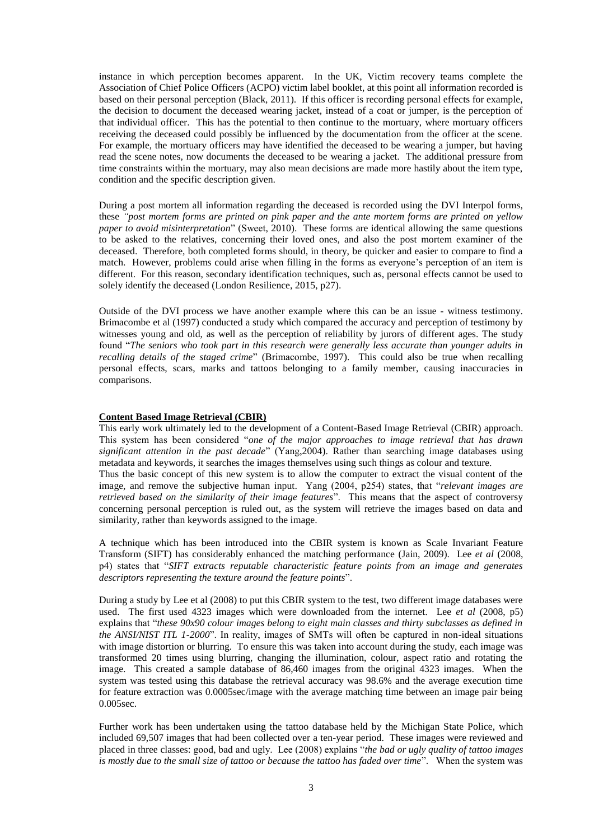instance in which perception becomes apparent. In the UK, Victim recovery teams complete the Association of Chief Police Officers (ACPO) victim label booklet, at this point all information recorded is based on their personal perception (Black, 2011). If this officer is recording personal effects for example, the decision to document the deceased wearing jacket, instead of a coat or jumper, is the perception of that individual officer. This has the potential to then continue to the mortuary, where mortuary officers receiving the deceased could possibly be influenced by the documentation from the officer at the scene. For example, the mortuary officers may have identified the deceased to be wearing a jumper, but having read the scene notes, now documents the deceased to be wearing a jacket. The additional pressure from time constraints within the mortuary, may also mean decisions are made more hastily about the item type, condition and the specific description given.

During a post mortem all information regarding the deceased is recorded using the DVI Interpol forms, these *"post mortem forms are printed on pink paper and the ante mortem forms are printed on yellow paper to avoid misinterpretation*" (Sweet, 2010). These forms are identical allowing the same questions to be asked to the relatives, concerning their loved ones, and also the post mortem examiner of the deceased. Therefore, both completed forms should, in theory, be quicker and easier to compare to find a match. However, problems could arise when filling in the forms as everyone's perception of an item is different. For this reason, secondary identification techniques, such as, personal effects cannot be used to solely identify the deceased (London Resilience, 2015, p27).

Outside of the DVI process we have another example where this can be an issue - witness testimony. Brimacombe et al (1997) conducted a study which compared the accuracy and perception of testimony by witnesses young and old, as well as the perception of reliability by jurors of different ages. The study found "*The seniors who took part in this research were generally less accurate than younger adults in recalling details of the staged crime*" (Brimacombe, 1997). This could also be true when recalling personal effects, scars, marks and tattoos belonging to a family member, causing inaccuracies in comparisons.

#### **Content Based Image Retrieval (CBIR)**

This early work ultimately led to the development of a Content-Based Image Retrieval (CBIR) approach. This system has been considered "*one of the major approaches to image retrieval that has drawn significant attention in the past decade*" (Yang,2004). Rather than searching image databases using metadata and keywords, it searches the images themselves using such things as colour and texture. Thus the basic concept of this new system is to allow the computer to extract the visual content of the image, and remove the subjective human input. Yang (2004, p254) states, that "*relevant images are retrieved based on the similarity of their image features*". This means that the aspect of controversy concerning personal perception is ruled out, as the system will retrieve the images based on data and similarity, rather than keywords assigned to the image.

A technique which has been introduced into the CBIR system is known as Scale Invariant Feature Transform (SIFT) has considerably enhanced the matching performance (Jain, 2009). Lee *et al* (2008, p4) states that "*SIFT extracts reputable characteristic feature points from an image and generates descriptors representing the texture around the feature points*".

During a study by Lee et al (2008) to put this CBIR system to the test, two different image databases were used. The first used 4323 images which were downloaded from the internet. Lee *et al* (2008, p5) explains that "*these 90x90 colour images belong to eight main classes and thirty subclasses as defined in the ANSI/NIST ITL 1-2000*". In reality, images of SMTs will often be captured in non-ideal situations with image distortion or blurring. To ensure this was taken into account during the study, each image was transformed 20 times using blurring, changing the illumination, colour, aspect ratio and rotating the image. This created a sample database of 86,460 images from the original 4323 images. When the system was tested using this database the retrieval accuracy was 98.6% and the average execution time for feature extraction was 0.0005sec/image with the average matching time between an image pair being 0.005sec.

Further work has been undertaken using the tattoo database held by the Michigan State Police, which included 69,507 images that had been collected over a ten-year period. These images were reviewed and placed in three classes: good, bad and ugly. Lee (2008) explains "*the bad or ugly quality of tattoo images is mostly due to the small size of tattoo or because the tattoo has faded over time*". When the system was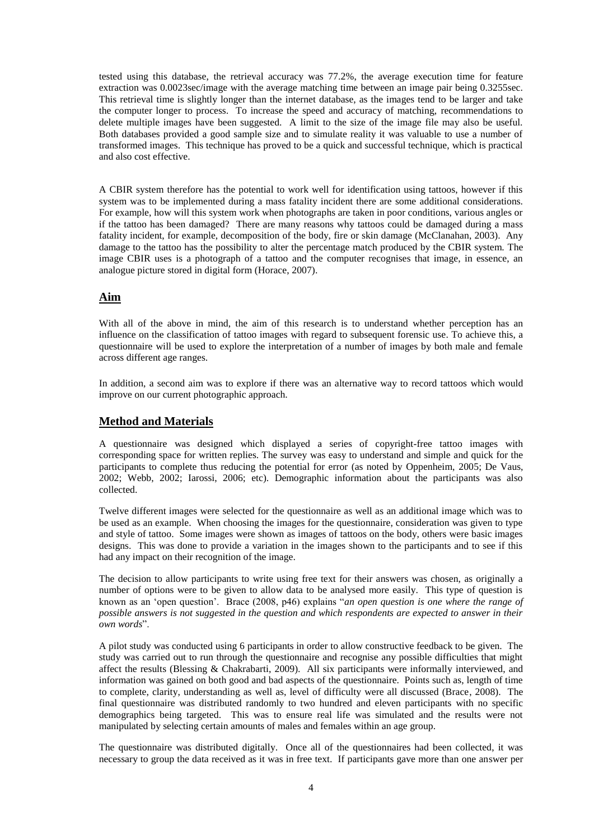tested using this database, the retrieval accuracy was 77.2%, the average execution time for feature extraction was 0.0023sec/image with the average matching time between an image pair being 0.3255sec. This retrieval time is slightly longer than the internet database, as the images tend to be larger and take the computer longer to process. To increase the speed and accuracy of matching, recommendations to delete multiple images have been suggested. A limit to the size of the image file may also be useful. Both databases provided a good sample size and to simulate reality it was valuable to use a number of transformed images. This technique has proved to be a quick and successful technique, which is practical and also cost effective.

A CBIR system therefore has the potential to work well for identification using tattoos, however if this system was to be implemented during a mass fatality incident there are some additional considerations. For example, how will this system work when photographs are taken in poor conditions, various angles or if the tattoo has been damaged? There are many reasons why tattoos could be damaged during a mass fatality incident, for example, decomposition of the body, fire or skin damage (McClanahan, 2003). Any damage to the tattoo has the possibility to alter the percentage match produced by the CBIR system. The image CBIR uses is a photograph of a tattoo and the computer recognises that image, in essence, an analogue picture stored in digital form (Horace, 2007).

# **Aim**

With all of the above in mind, the aim of this research is to understand whether perception has an influence on the classification of tattoo images with regard to subsequent forensic use. To achieve this, a questionnaire will be used to explore the interpretation of a number of images by both male and female across different age ranges.

In addition, a second aim was to explore if there was an alternative way to record tattoos which would improve on our current photographic approach.

## **Method and Materials**

A questionnaire was designed which displayed a series of copyright-free tattoo images with corresponding space for written replies. The survey was easy to understand and simple and quick for the participants to complete thus reducing the potential for error (as noted by Oppenheim, 2005; De Vaus, 2002; Webb, 2002; Iarossi, 2006; etc). Demographic information about the participants was also collected.

Twelve different images were selected for the questionnaire as well as an additional image which was to be used as an example. When choosing the images for the questionnaire, consideration was given to type and style of tattoo. Some images were shown as images of tattoos on the body, others were basic images designs. This was done to provide a variation in the images shown to the participants and to see if this had any impact on their recognition of the image.

The decision to allow participants to write using free text for their answers was chosen, as originally a number of options were to be given to allow data to be analysed more easily. This type of question is known as an 'open question'. Brace (2008, p46) explains "*an open question is one where the range of possible answers is not suggested in the question and which respondents are expected to answer in their own words*".

A pilot study was conducted using 6 participants in order to allow constructive feedback to be given. The study was carried out to run through the questionnaire and recognise any possible difficulties that might affect the results (Blessing & Chakrabarti, 2009). All six participants were informally interviewed, and information was gained on both good and bad aspects of the questionnaire. Points such as, length of time to complete, clarity, understanding as well as, level of difficulty were all discussed (Brace, 2008). The final questionnaire was distributed randomly to two hundred and eleven participants with no specific demographics being targeted. This was to ensure real life was simulated and the results were not manipulated by selecting certain amounts of males and females within an age group.

The questionnaire was distributed digitally. Once all of the questionnaires had been collected, it was necessary to group the data received as it was in free text. If participants gave more than one answer per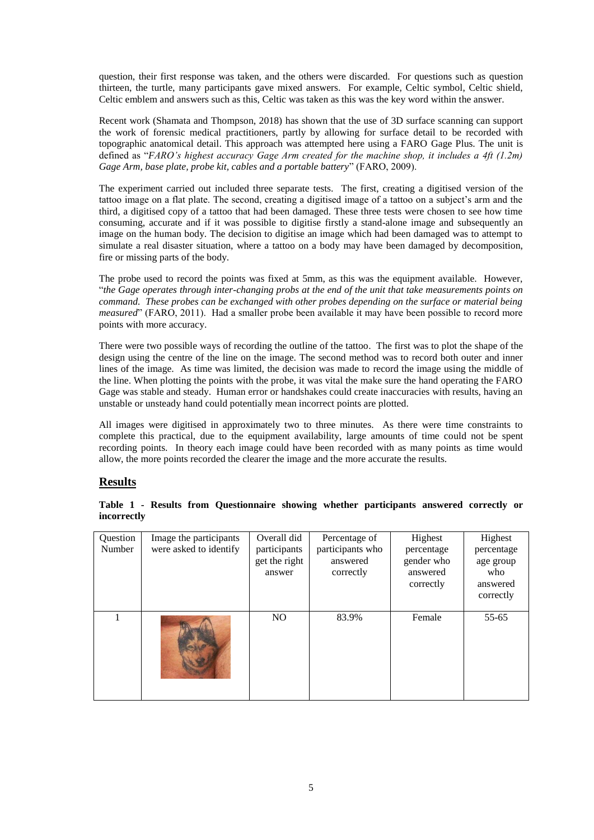question, their first response was taken, and the others were discarded. For questions such as question thirteen, the turtle, many participants gave mixed answers. For example, Celtic symbol, Celtic shield, Celtic emblem and answers such as this, Celtic was taken as this was the key word within the answer.

Recent work (Shamata and Thompson, 2018) has shown that the use of 3D surface scanning can support the work of forensic medical practitioners, partly by allowing for surface detail to be recorded with topographic anatomical detail. This approach was attempted here using a FARO Gage Plus. The unit is defined as "*FARO's highest accuracy Gage Arm created for the machine shop, it includes a 4ft (1.2m) Gage Arm, base plate, probe kit, cables and a portable battery*" (FARO, 2009).

The experiment carried out included three separate tests. The first, creating a digitised version of the tattoo image on a flat plate. The second, creating a digitised image of a tattoo on a subject's arm and the third, a digitised copy of a tattoo that had been damaged. These three tests were chosen to see how time consuming, accurate and if it was possible to digitise firstly a stand-alone image and subsequently an image on the human body. The decision to digitise an image which had been damaged was to attempt to simulate a real disaster situation, where a tattoo on a body may have been damaged by decomposition, fire or missing parts of the body.

The probe used to record the points was fixed at 5mm, as this was the equipment available. However, "*the Gage operates through inter-changing probs at the end of the unit that take measurements points on command. These probes can be exchanged with other probes depending on the surface or material being measured*" (FARO, 2011). Had a smaller probe been available it may have been possible to record more points with more accuracy.

There were two possible ways of recording the outline of the tattoo. The first was to plot the shape of the design using the centre of the line on the image. The second method was to record both outer and inner lines of the image. As time was limited, the decision was made to record the image using the middle of the line. When plotting the points with the probe, it was vital the make sure the hand operating the FARO Gage was stable and steady. Human error or handshakes could create inaccuracies with results, having an unstable or unsteady hand could potentially mean incorrect points are plotted.

All images were digitised in approximately two to three minutes. As there were time constraints to complete this practical, due to the equipment availability, large amounts of time could not be spent recording points. In theory each image could have been recorded with as many points as time would allow, the more points recorded the clearer the image and the more accurate the results.

# **Results**

| Question<br>Number | Image the participants<br>were asked to identify | Overall did<br>participants<br>get the right<br>answer | Percentage of<br>participants who<br>answered<br>correctly | Highest<br>percentage<br>gender who<br>answered<br>correctly | Highest<br>percentage<br>age group<br>who<br>answered<br>correctly |
|--------------------|--------------------------------------------------|--------------------------------------------------------|------------------------------------------------------------|--------------------------------------------------------------|--------------------------------------------------------------------|
|                    |                                                  | N <sub>O</sub>                                         | 83.9%                                                      | Female                                                       | 55-65                                                              |

|             |  | Table 1 - Results from Questionnaire showing whether participants answered correctly or |  |  |  |
|-------------|--|-----------------------------------------------------------------------------------------|--|--|--|
| incorrectly |  |                                                                                         |  |  |  |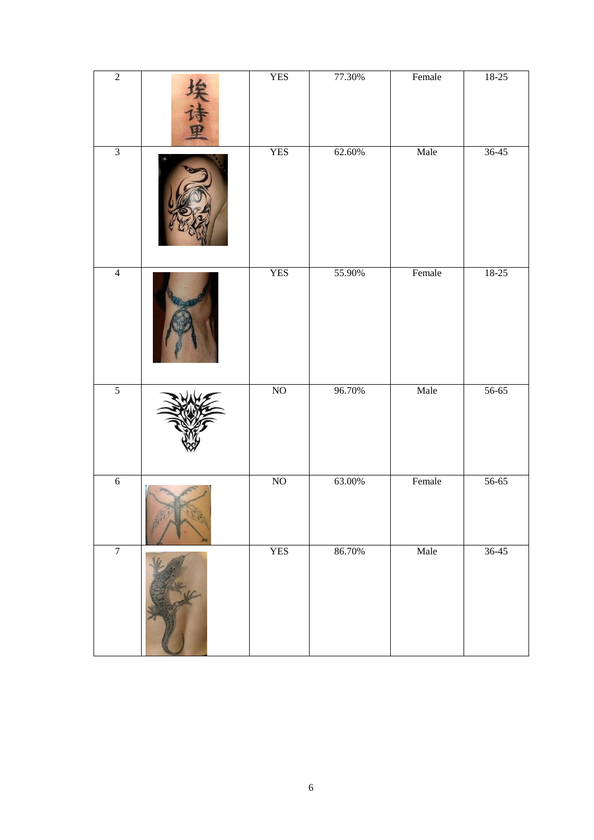| $\overline{2}$ | <b>YES</b>             | 77.30% | Female | $18-25$   |
|----------------|------------------------|--------|--------|-----------|
| $\overline{3}$ | <b>YES</b>             | 62.60% | Male   | $36 - 45$ |
| $\overline{4}$ | <b>YES</b>             | 55.90% | Female | $18-25$   |
| $\overline{5}$ | $\overline{\text{NO}}$ | 96.70% | Male   | $56 - 65$ |
| $\overline{6}$ | $\rm NO$               | 63.00% | Female | $56 - 65$ |
| $\overline{7}$ | <b>YES</b>             | 86.70% | Male   | $36 - 45$ |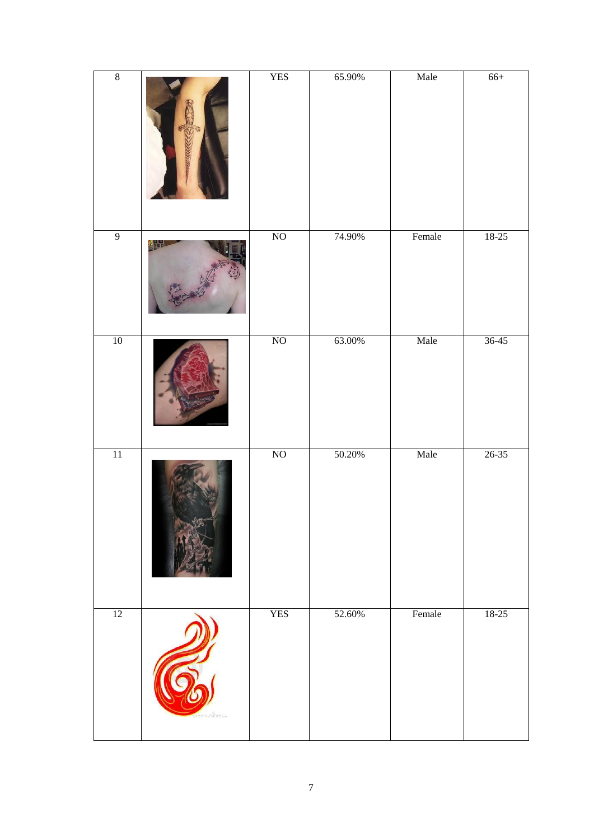| $\boldsymbol{8}$ |         | <b>YES</b>             | 65.90% | Male   | $66+$     |
|------------------|---------|------------------------|--------|--------|-----------|
| $\overline{9}$   |         | $\overline{\text{NO}}$ | 74.90% | Female | $18-25$   |
| $10\,$           |         | $\overline{\text{NO}}$ | 63.00% | Male   | $36 - 45$ |
| $11\,$           |         | $\rm NO$               | 50.20% | Male   | $26 - 35$ |
| 12               | anceims | <b>YES</b>             | 52.60% | Female | $18 - 25$ |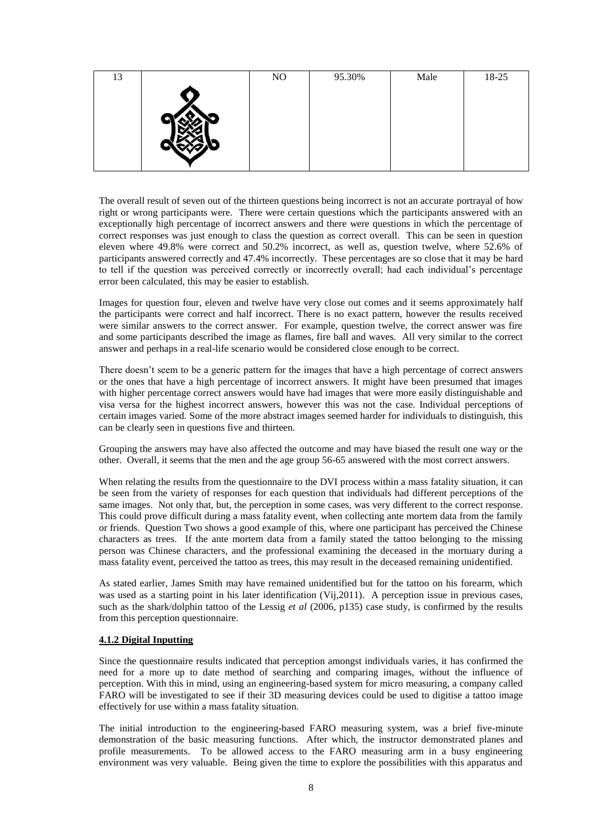| 13 | NO | 95.30% | Male | 18-25 |
|----|----|--------|------|-------|
|    |    |        |      |       |
|    |    |        |      |       |
|    |    |        |      |       |
|    |    |        |      |       |
|    |    |        |      |       |
|    |    |        |      |       |

The overall result of seven out of the thirteen questions being incorrect is not an accurate portrayal of how right or wrong participants were. There were certain questions which the participants answered with an exceptionally high percentage of incorrect answers and there were questions in which the percentage of correct responses was just enough to class the question as correct overall. This can be seen in question eleven where 49.8% were correct and 50.2% incorrect, as well as, question twelve, where 52.6% of participants answered correctly and 47.4% incorrectly. These percentages are so close that it may be hard to tell if the question was perceived correctly or incorrectly overall; had each individual's percentage error been calculated, this may be easier to establish.

Images for question four, eleven and twelve have very close out comes and it seems approximately half the participants were correct and half incorrect. There is no exact pattern, however the results received were similar answers to the correct answer. For example, question twelve, the correct answer was fire and some participants described the image as flames, fire ball and waves. All very similar to the correct answer and perhaps in a real-life scenario would be considered close enough to be correct.

There doesn't seem to be a generic pattern for the images that have a high percentage of correct answers or the ones that have a high percentage of incorrect answers. It might have been presumed that images with higher percentage correct answers would have had images that were more easily distinguishable and visa versa for the highest incorrect answers, however this was not the case. Individual perceptions of certain images varied. Some of the more abstract images seemed harder for individuals to distinguish, this can be clearly seen in questions five and thirteen.

Grouping the answers may have also affected the outcome and may have biased the result one way or the other. Overall, it seems that the men and the age group 56-65 answered with the most correct answers.

When relating the results from the questionnaire to the DVI process within a mass fatality situation, it can be seen from the variety of responses for each question that individuals had different perceptions of the same images. Not only that, but, the perception in some cases, was very different to the correct response. This could prove difficult during a mass fatality event, when collecting ante mortem data from the family or friends. Question Two shows a good example of this, where one participant has perceived the Chinese characters as trees. If the ante mortem data from a family stated the tattoo belonging to the missing person was Chinese characters, and the professional examining the deceased in the mortuary during a mass fatality event, perceived the tattoo as trees, this may result in the deceased remaining unidentified.

As stated earlier, James Smith may have remained unidentified but for the tattoo on his forearm, which was used as a starting point in his later identification (Vij, 2011). A perception issue in previous cases, such as the shark/dolphin tattoo of the Lessig *et al* (2006, p135) case study, is confirmed by the results from this perception questionnaire.

### **4.1.2 Digital Inputting**

Since the questionnaire results indicated that perception amongst individuals varies, it has confirmed the need for a more up to date method of searching and comparing images, without the influence of perception. With this in mind, using an engineering-based system for micro measuring, a company called FARO will be investigated to see if their 3D measuring devices could be used to digitise a tattoo image effectively for use within a mass fatality situation.

The initial introduction to the engineering-based FARO measuring system, was a brief five-minute demonstration of the basic measuring functions. After which, the instructor demonstrated planes and profile measurements. To be allowed access to the FARO measuring arm in a busy engineering environment was very valuable. Being given the time to explore the possibilities with this apparatus and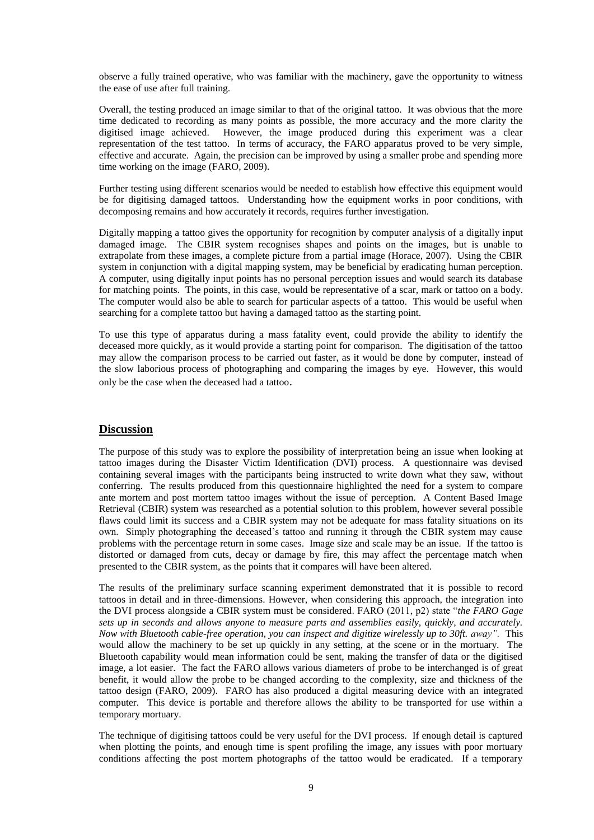observe a fully trained operative, who was familiar with the machinery, gave the opportunity to witness the ease of use after full training.

Overall, the testing produced an image similar to that of the original tattoo. It was obvious that the more time dedicated to recording as many points as possible, the more accuracy and the more clarity the digitised image achieved. However, the image produced during this experiment was a clear representation of the test tattoo. In terms of accuracy, the FARO apparatus proved to be very simple, effective and accurate. Again, the precision can be improved by using a smaller probe and spending more time working on the image (FARO, 2009).

Further testing using different scenarios would be needed to establish how effective this equipment would be for digitising damaged tattoos. Understanding how the equipment works in poor conditions, with decomposing remains and how accurately it records, requires further investigation.

Digitally mapping a tattoo gives the opportunity for recognition by computer analysis of a digitally input damaged image. The CBIR system recognises shapes and points on the images, but is unable to extrapolate from these images, a complete picture from a partial image (Horace, 2007). Using the CBIR system in conjunction with a digital mapping system, may be beneficial by eradicating human perception. A computer, using digitally input points has no personal perception issues and would search its database for matching points. The points, in this case, would be representative of a scar, mark or tattoo on a body. The computer would also be able to search for particular aspects of a tattoo. This would be useful when searching for a complete tattoo but having a damaged tattoo as the starting point.

To use this type of apparatus during a mass fatality event, could provide the ability to identify the deceased more quickly, as it would provide a starting point for comparison. The digitisation of the tattoo may allow the comparison process to be carried out faster, as it would be done by computer, instead of the slow laborious process of photographing and comparing the images by eye. However, this would only be the case when the deceased had a tattoo.

# **Discussion**

The purpose of this study was to explore the possibility of interpretation being an issue when looking at tattoo images during the Disaster Victim Identification (DVI) process. A questionnaire was devised containing several images with the participants being instructed to write down what they saw, without conferring. The results produced from this questionnaire highlighted the need for a system to compare ante mortem and post mortem tattoo images without the issue of perception. A Content Based Image Retrieval (CBIR) system was researched as a potential solution to this problem, however several possible flaws could limit its success and a CBIR system may not be adequate for mass fatality situations on its own. Simply photographing the deceased's tattoo and running it through the CBIR system may cause problems with the percentage return in some cases. Image size and scale may be an issue. If the tattoo is distorted or damaged from cuts, decay or damage by fire, this may affect the percentage match when presented to the CBIR system, as the points that it compares will have been altered.

The results of the preliminary surface scanning experiment demonstrated that it is possible to record tattoos in detail and in three-dimensions. However, when considering this approach, the integration into the DVI process alongside a CBIR system must be considered. FARO (2011, p2) state "*the FARO Gage sets up in seconds and allows anyone to measure parts and assemblies easily, quickly, and accurately. Now with Bluetooth cable-free operation, you can inspect and digitize wirelessly up to 30ft. away".* This would allow the machinery to be set up quickly in any setting, at the scene or in the mortuary. The Bluetooth capability would mean information could be sent, making the transfer of data or the digitised image, a lot easier. The fact the FARO allows various diameters of probe to be interchanged is of great benefit, it would allow the probe to be changed according to the complexity, size and thickness of the tattoo design (FARO, 2009). FARO has also produced a digital measuring device with an integrated computer. This device is portable and therefore allows the ability to be transported for use within a temporary mortuary.

The technique of digitising tattoos could be very useful for the DVI process. If enough detail is captured when plotting the points, and enough time is spent profiling the image, any issues with poor mortuary conditions affecting the post mortem photographs of the tattoo would be eradicated. If a temporary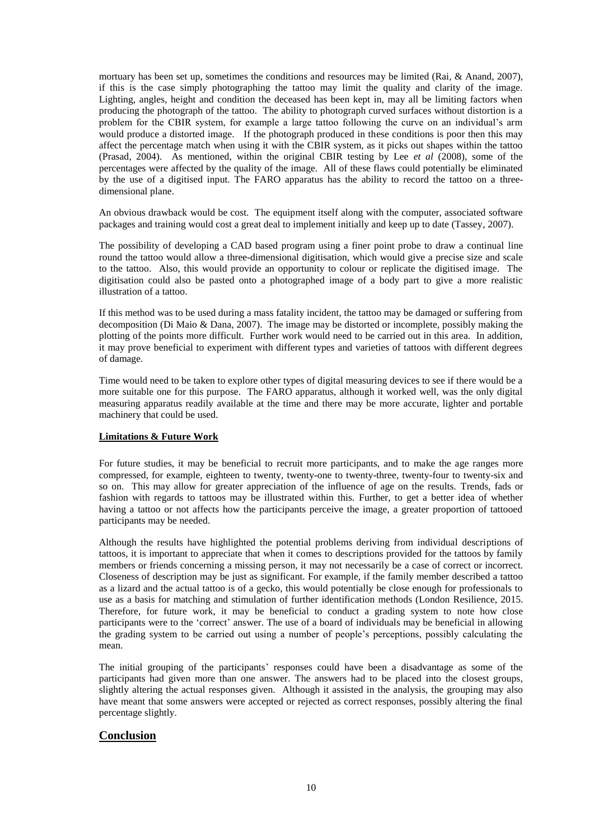mortuary has been set up, sometimes the conditions and resources may be limited (Rai, & Anand, 2007), if this is the case simply photographing the tattoo may limit the quality and clarity of the image. Lighting, angles, height and condition the deceased has been kept in, may all be limiting factors when producing the photograph of the tattoo. The ability to photograph curved surfaces without distortion is a problem for the CBIR system, for example a large tattoo following the curve on an individual's arm would produce a distorted image. If the photograph produced in these conditions is poor then this may affect the percentage match when using it with the CBIR system, as it picks out shapes within the tattoo (Prasad, 2004). As mentioned, within the original CBIR testing by Lee *et al* (2008), some of the percentages were affected by the quality of the image. All of these flaws could potentially be eliminated by the use of a digitised input. The FARO apparatus has the ability to record the tattoo on a threedimensional plane.

An obvious drawback would be cost. The equipment itself along with the computer, associated software packages and training would cost a great deal to implement initially and keep up to date (Tassey, 2007).

The possibility of developing a CAD based program using a finer point probe to draw a continual line round the tattoo would allow a three-dimensional digitisation, which would give a precise size and scale to the tattoo. Also, this would provide an opportunity to colour or replicate the digitised image. The digitisation could also be pasted onto a photographed image of a body part to give a more realistic illustration of a tattoo.

If this method was to be used during a mass fatality incident, the tattoo may be damaged or suffering from decomposition (Di Maio & Dana, 2007). The image may be distorted or incomplete, possibly making the plotting of the points more difficult. Further work would need to be carried out in this area. In addition, it may prove beneficial to experiment with different types and varieties of tattoos with different degrees of damage.

Time would need to be taken to explore other types of digital measuring devices to see if there would be a more suitable one for this purpose. The FARO apparatus, although it worked well, was the only digital measuring apparatus readily available at the time and there may be more accurate, lighter and portable machinery that could be used.

### **Limitations & Future Work**

For future studies, it may be beneficial to recruit more participants, and to make the age ranges more compressed, for example, eighteen to twenty, twenty-one to twenty-three, twenty-four to twenty-six and so on. This may allow for greater appreciation of the influence of age on the results. Trends, fads or fashion with regards to tattoos may be illustrated within this. Further, to get a better idea of whether having a tattoo or not affects how the participants perceive the image, a greater proportion of tattooed participants may be needed.

Although the results have highlighted the potential problems deriving from individual descriptions of tattoos, it is important to appreciate that when it comes to descriptions provided for the tattoos by family members or friends concerning a missing person, it may not necessarily be a case of correct or incorrect. Closeness of description may be just as significant. For example, if the family member described a tattoo as a lizard and the actual tattoo is of a gecko, this would potentially be close enough for professionals to use as a basis for matching and stimulation of further identification methods (London Resilience, 2015. Therefore, for future work, it may be beneficial to conduct a grading system to note how close participants were to the 'correct' answer. The use of a board of individuals may be beneficial in allowing the grading system to be carried out using a number of people's perceptions, possibly calculating the mean.

The initial grouping of the participants' responses could have been a disadvantage as some of the participants had given more than one answer. The answers had to be placed into the closest groups, slightly altering the actual responses given. Although it assisted in the analysis, the grouping may also have meant that some answers were accepted or rejected as correct responses, possibly altering the final percentage slightly.

# **Conclusion**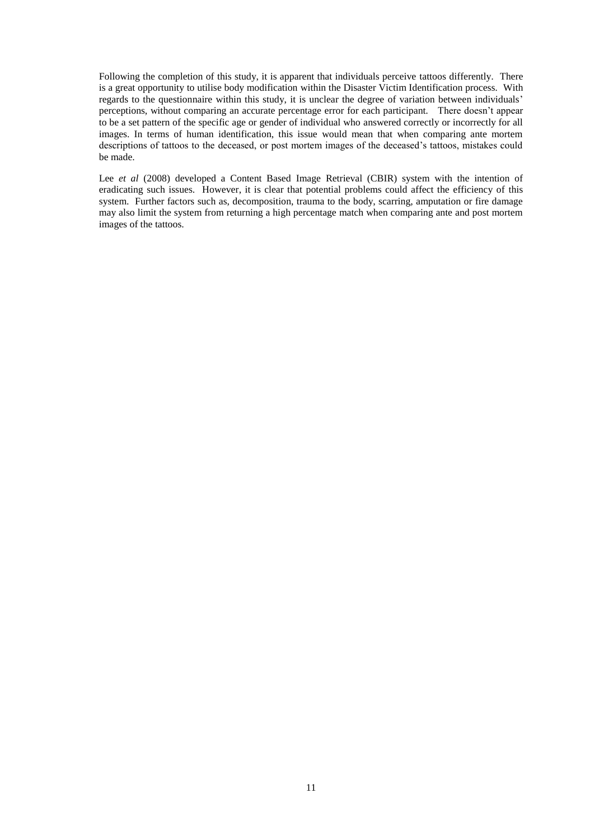Following the completion of this study, it is apparent that individuals perceive tattoos differently. There is a great opportunity to utilise body modification within the Disaster Victim Identification process. With regards to the questionnaire within this study, it is unclear the degree of variation between individuals' perceptions, without comparing an accurate percentage error for each participant. There doesn't appear to be a set pattern of the specific age or gender of individual who answered correctly or incorrectly for all images. In terms of human identification, this issue would mean that when comparing ante mortem descriptions of tattoos to the deceased, or post mortem images of the deceased's tattoos, mistakes could be made.

Lee *et al* (2008) developed a Content Based Image Retrieval (CBIR) system with the intention of eradicating such issues. However, it is clear that potential problems could affect the efficiency of this system. Further factors such as, decomposition, trauma to the body, scarring, amputation or fire damage may also limit the system from returning a high percentage match when comparing ante and post mortem images of the tattoos.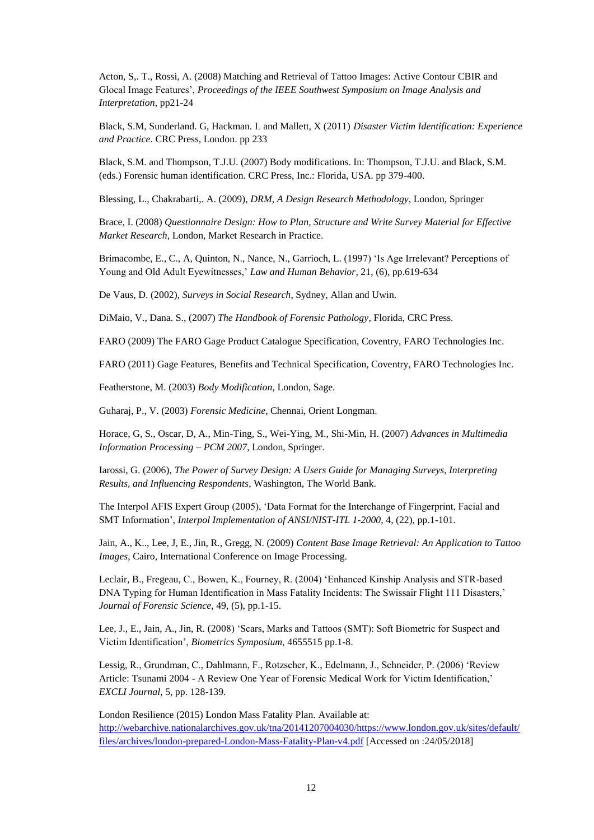Acton, S,. T., Rossi, A. (2008) Matching and Retrieval of Tattoo Images: Active Contour CBIR and Glocal Image Features', *Proceedings of the IEEE Southwest Symposium on Image Analysis and Interpretation*, pp21-24

Black, S.M, Sunderland. G, Hackman. L and Mallett, X (2011) *Disaster Victim Identification: Experience and Practice*. CRC Press, London. pp 233

Black, S.M. and Thompson, T.J.U. (2007) Body modifications. In: Thompson, T.J.U. and Black, S.M. (eds.) Forensic human identification. CRC Press, Inc.: Florida, USA. pp 379-400.

Blessing, L., Chakrabarti,. A. (2009), *DRM, A Design Research Methodology*, London, Springer

Brace, I. (2008) *Questionnaire Design: How to Plan, Structure and Write Survey Material for Effective Market Research*, London, Market Research in Practice.

Brimacombe, E., C., A, Quinton, N., Nance, N., Garrioch, L. (1997) 'Is Age Irrelevant? Perceptions of Young and Old Adult Eyewitnesses,' *Law and Human Behavior*, 21, (6), pp.619-634

De Vaus, D. (2002), *Surveys in Social Research*, Sydney, Allan and Uwin.

DiMaio, V., Dana. S., (2007) *The Handbook of Forensic Pathology*, Florida, CRC Press.

FARO (2009) The FARO Gage Product Catalogue Specification, Coventry, FARO Technologies Inc.

FARO (2011) Gage Features, Benefits and Technical Specification, Coventry, FARO Technologies Inc.

Featherstone, M. (2003) *Body Modification*, London, Sage.

Guharaj, P., V. (2003) *Forensic Medicine*, Chennai, Orient Longman.

Horace, G, S., Oscar, D, A., Min-Ting, S., Wei-Ying, M., Shi-Min, H. (2007) *Advances in Multimedia Information Processing – PCM 2007*, London, Springer.

Iarossi, G. (2006), *The Power of Survey Design: A Users Guide for Managing Surveys, Interpreting Results, and Influencing Respondents*, Washington, The World Bank.

The Interpol AFIS Expert Group (2005), 'Data Format for the Interchange of Fingerprint, Facial and SMT Information', *Interpol Implementation of ANSI/NIST-ITL 1-2000*, 4, (22), pp.1-101.

Jain, A., K.., Lee, J, E., Jin, R., Gregg, N. (2009) *Content Base Image Retrieval: An Application to Tattoo Images*, Cairo, International Conference on Image Processing.

Leclair, B., Fregeau, C., Bowen, K., Fourney, R. (2004) 'Enhanced Kinship Analysis and STR-based DNA Typing for Human Identification in Mass Fatality Incidents: The Swissair Flight 111 Disasters,' *Journal of Forensic Science*, 49, (5), pp.1-15.

Lee, J., E., Jain, A., Jin, R. (2008) 'Scars, Marks and Tattoos (SMT): Soft Biometric for Suspect and Victim Identification', *Biometrics Symposium*, 4655515 pp.1-8.

Lessig, R., Grundman, C., Dahlmann, F., Rotzscher, K., Edelmann, J., Schneider, P. (2006) 'Review Article: Tsunami 2004 - A Review One Year of Forensic Medical Work for Victim Identification,' *EXCLI Journal*, 5, pp. 128-139.

London Resilience (2015) London Mass Fatality Plan. Available at: [http://webarchive.nationalarchives.gov.uk/tna/20141207004030/https://www.london.gov.uk/sites/default/](http://webarchive.nationalarchives.gov.uk/tna/20141207004030/https:/www.london.gov.uk/sites/default/files/archives/london-prepared-London-Mass-Fatality-Plan-v4.pdf) [files/archives/london-prepared-London-Mass-Fatality-Plan-v4.pdf](http://webarchive.nationalarchives.gov.uk/tna/20141207004030/https:/www.london.gov.uk/sites/default/files/archives/london-prepared-London-Mass-Fatality-Plan-v4.pdf) [Accessed on :24/05/2018]